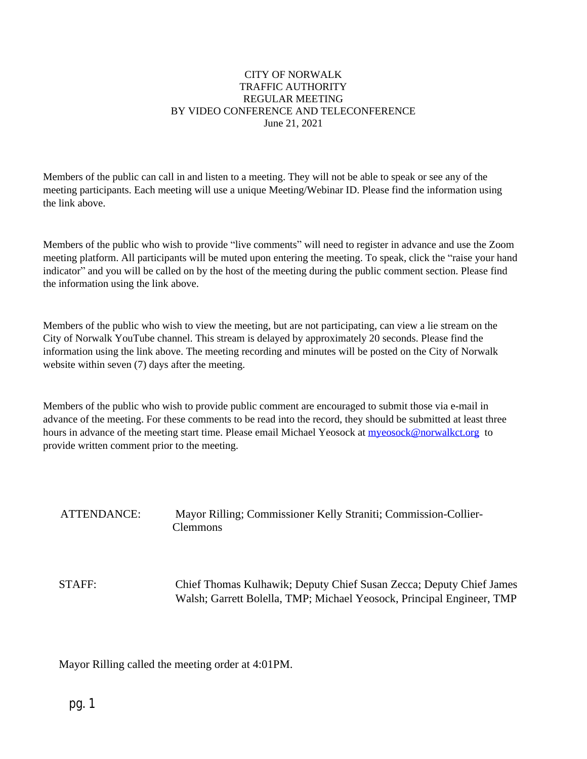#### CITY OF NORWALK TRAFFIC AUTHORITY REGULAR MEETING BY VIDEO CONFERENCE AND TELECONFERENCE June 21, 2021

Members of the public can call in and listen to a meeting. They will not be able to speak or see any of the meeting participants. Each meeting will use a unique Meeting/Webinar ID. Please find the information using the link above.

Members of the public who wish to provide "live comments" will need to register in advance and use the Zoom meeting platform. All participants will be muted upon entering the meeting. To speak, click the "raise your hand indicator" and you will be called on by the host of the meeting during the public comment section. Please find the information using the link above.

Members of the public who wish to view the meeting, but are not participating, can view a lie stream on the City of Norwalk YouTube channel. This stream is delayed by approximately 20 seconds. Please find the information using the link above. The meeting recording and minutes will be posted on the City of Norwalk website within seven (7) days after the meeting.

Members of the public who wish to provide public comment are encouraged to submit those via e-mail in advance of the meeting. For these comments to be read into the record, they should be submitted at least three hours in advance of the meeting start time. Please email Michael Yeosock at [myeosock@norwalkct.org](mailto:myeosock@norwalkct.org) to provide written comment prior to the meeting.

# ATTENDANCE: Mayor Rilling; Commissioner Kelly Straniti; Commission-Collier-Clemmons

STAFF: Chief Thomas Kulhawik; Deputy Chief Susan Zecca; Deputy Chief James Walsh; Garrett Bolella, TMP; Michael Yeosock, Principal Engineer, TMP

Mayor Rilling called the meeting order at 4:01PM.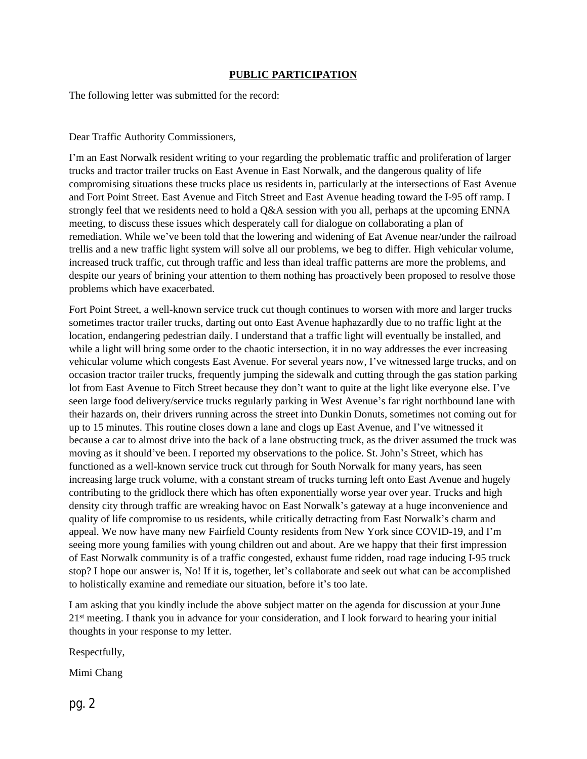#### **PUBLIC PARTICIPATION**

The following letter was submitted for the record:

#### Dear Traffic Authority Commissioners,

I'm an East Norwalk resident writing to your regarding the problematic traffic and proliferation of larger trucks and tractor trailer trucks on East Avenue in East Norwalk, and the dangerous quality of life compromising situations these trucks place us residents in, particularly at the intersections of East Avenue and Fort Point Street. East Avenue and Fitch Street and East Avenue heading toward the I-95 off ramp. I strongly feel that we residents need to hold a Q&A session with you all, perhaps at the upcoming ENNA meeting, to discuss these issues which desperately call for dialogue on collaborating a plan of remediation. While we've been told that the lowering and widening of Eat Avenue near/under the railroad trellis and a new traffic light system will solve all our problems, we beg to differ. High vehicular volume, increased truck traffic, cut through traffic and less than ideal traffic patterns are more the problems, and despite our years of brining your attention to them nothing has proactively been proposed to resolve those problems which have exacerbated.

Fort Point Street, a well-known service truck cut though continues to worsen with more and larger trucks sometimes tractor trailer trucks, darting out onto East Avenue haphazardly due to no traffic light at the location, endangering pedestrian daily. I understand that a traffic light will eventually be installed, and while a light will bring some order to the chaotic intersection, it in no way addresses the ever increasing vehicular volume which congests East Avenue. For several years now, I've witnessed large trucks, and on occasion tractor trailer trucks, frequently jumping the sidewalk and cutting through the gas station parking lot from East Avenue to Fitch Street because they don't want to quite at the light like everyone else. I've seen large food delivery/service trucks regularly parking in West Avenue's far right northbound lane with their hazards on, their drivers running across the street into Dunkin Donuts, sometimes not coming out for up to 15 minutes. This routine closes down a lane and clogs up East Avenue, and I've witnessed it because a car to almost drive into the back of a lane obstructing truck, as the driver assumed the truck was moving as it should've been. I reported my observations to the police. St. John's Street, which has functioned as a well-known service truck cut through for South Norwalk for many years, has seen increasing large truck volume, with a constant stream of trucks turning left onto East Avenue and hugely contributing to the gridlock there which has often exponentially worse year over year. Trucks and high density city through traffic are wreaking havoc on East Norwalk's gateway at a huge inconvenience and quality of life compromise to us residents, while critically detracting from East Norwalk's charm and appeal. We now have many new Fairfield County residents from New York since COVID-19, and I'm seeing more young families with young children out and about. Are we happy that their first impression of East Norwalk community is of a traffic congested, exhaust fume ridden, road rage inducing I-95 truck stop? I hope our answer is, No! If it is, together, let's collaborate and seek out what can be accomplished to holistically examine and remediate our situation, before it's too late.

I am asking that you kindly include the above subject matter on the agenda for discussion at your June 21st meeting. I thank you in advance for your consideration, and I look forward to hearing your initial thoughts in your response to my letter.

Respectfully,

Mimi Chang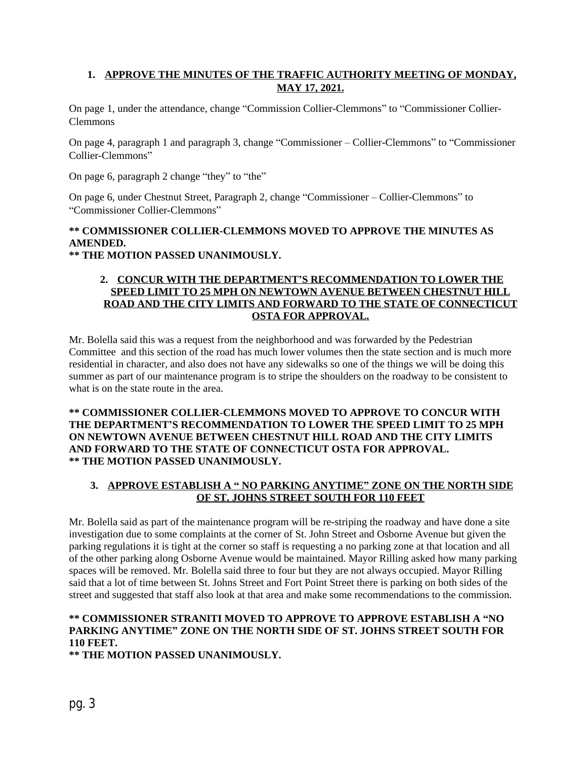## **1. APPROVE THE MINUTES OF THE TRAFFIC AUTHORITY MEETING OF MONDAY, MAY 17, 2021.**

On page 1, under the attendance, change "Commission Collier-Clemmons" to "Commissioner Collier-Clemmons

On page 4, paragraph 1 and paragraph 3, change "Commissioner – Collier-Clemmons" to "Commissioner Collier-Clemmons"

On page 6, paragraph 2 change "they" to "the"

On page 6, under Chestnut Street, Paragraph 2, change "Commissioner – Collier-Clemmons" to "Commissioner Collier-Clemmons"

## **\*\* COMMISSIONER COLLIER-CLEMMONS MOVED TO APPROVE THE MINUTES AS AMENDED.**

**\*\* THE MOTION PASSED UNANIMOUSLY.**

#### **2. CONCUR WITH THE DEPARTMENT'S RECOMMENDATION TO LOWER THE SPEED LIMIT TO 25 MPH ON NEWTOWN AVENUE BETWEEN CHESTNUT HILL ROAD AND THE CITY LIMITS AND FORWARD TO THE STATE OF CONNECTICUT OSTA FOR APPROVAL.**

Mr. Bolella said this was a request from the neighborhood and was forwarded by the Pedestrian Committee and this section of the road has much lower volumes then the state section and is much more residential in character, and also does not have any sidewalks so one of the things we will be doing this summer as part of our maintenance program is to stripe the shoulders on the roadway to be consistent to what is on the state route in the area.

**\*\* COMMISSIONER COLLIER-CLEMMONS MOVED TO APPROVE TO CONCUR WITH THE DEPARTMENT'S RECOMMENDATION TO LOWER THE SPEED LIMIT TO 25 MPH ON NEWTOWN AVENUE BETWEEN CHESTNUT HILL ROAD AND THE CITY LIMITS AND FORWARD TO THE STATE OF CONNECTICUT OSTA FOR APPROVAL. \*\* THE MOTION PASSED UNANIMOUSLY.**

### **3. APPROVE ESTABLISH A " NO PARKING ANYTIME" ZONE ON THE NORTH SIDE OF ST. JOHNS STREET SOUTH FOR 110 FEET**

Mr. Bolella said as part of the maintenance program will be re-striping the roadway and have done a site investigation due to some complaints at the corner of St. John Street and Osborne Avenue but given the parking regulations it is tight at the corner so staff is requesting a no parking zone at that location and all of the other parking along Osborne Avenue would be maintained. Mayor Rilling asked how many parking spaces will be removed. Mr. Bolella said three to four but they are not always occupied. Mayor Rilling said that a lot of time between St. Johns Street and Fort Point Street there is parking on both sides of the street and suggested that staff also look at that area and make some recommendations to the commission.

## **\*\* COMMISSIONER STRANITI MOVED TO APPROVE TO APPROVE ESTABLISH A "NO PARKING ANYTIME" ZONE ON THE NORTH SIDE OF ST. JOHNS STREET SOUTH FOR 110 FEET.**

**\*\* THE MOTION PASSED UNANIMOUSLY.**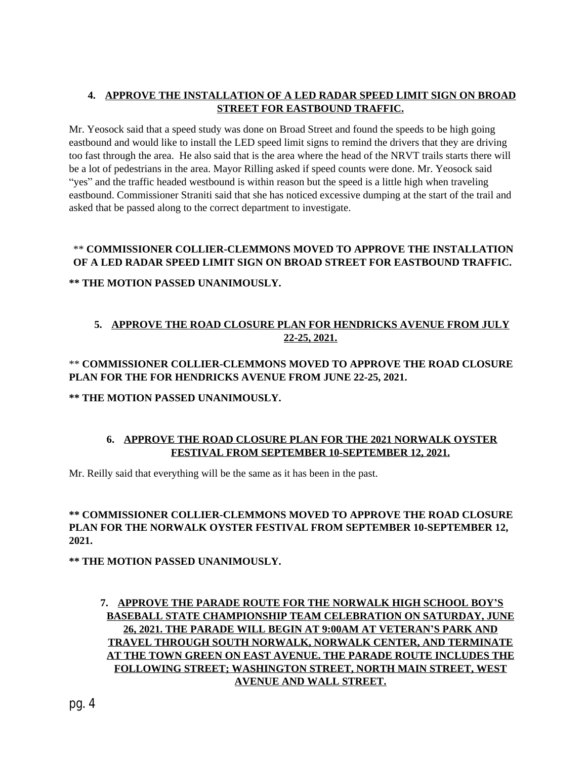## **4. APPROVE THE INSTALLATION OF A LED RADAR SPEED LIMIT SIGN ON BROAD STREET FOR EASTBOUND TRAFFIC.**

Mr. Yeosock said that a speed study was done on Broad Street and found the speeds to be high going eastbound and would like to install the LED speed limit signs to remind the drivers that they are driving too fast through the area. He also said that is the area where the head of the NRVT trails starts there will be a lot of pedestrians in the area. Mayor Rilling asked if speed counts were done. Mr. Yeosock said "yes" and the traffic headed westbound is within reason but the speed is a little high when traveling eastbound. Commissioner Straniti said that she has noticed excessive dumping at the start of the trail and asked that be passed along to the correct department to investigate.

### \*\* **COMMISSIONER COLLIER-CLEMMONS MOVED TO APPROVE THE INSTALLATION OF A LED RADAR SPEED LIMIT SIGN ON BROAD STREET FOR EASTBOUND TRAFFIC.**

#### **\*\* THE MOTION PASSED UNANIMOUSLY.**

## **5. APPROVE THE ROAD CLOSURE PLAN FOR HENDRICKS AVENUE FROM JULY 22-25, 2021.**

## \*\* **COMMISSIONER COLLIER-CLEMMONS MOVED TO APPROVE THE ROAD CLOSURE PLAN FOR THE FOR HENDRICKS AVENUE FROM JUNE 22-25, 2021.**

### **\*\* THE MOTION PASSED UNANIMOUSLY.**

## **6. APPROVE THE ROAD CLOSURE PLAN FOR THE 2021 NORWALK OYSTER FESTIVAL FROM SEPTEMBER 10-SEPTEMBER 12, 2021.**

Mr. Reilly said that everything will be the same as it has been in the past.

#### **\*\* COMMISSIONER COLLIER-CLEMMONS MOVED TO APPROVE THE ROAD CLOSURE PLAN FOR THE NORWALK OYSTER FESTIVAL FROM SEPTEMBER 10-SEPTEMBER 12, 2021.**

**\*\* THE MOTION PASSED UNANIMOUSLY.**

## **7. APPROVE THE PARADE ROUTE FOR THE NORWALK HIGH SCHOOL BOY'S BASEBALL STATE CHAMPIONSHIP TEAM CELEBRATION ON SATURDAY, JUNE 26, 2021. THE PARADE WILL BEGIN AT 9:00AM AT VETERAN'S PARK AND TRAVEL THROUGH SOUTH NORWALK, NORWALK CENTER, AND TERMINATE AT THE TOWN GREEN ON EAST AVENUE. THE PARADE ROUTE INCLUDES THE FOLLOWING STREET; WASHINGTON STREET, NORTH MAIN STREET, WEST AVENUE AND WALL STREET.**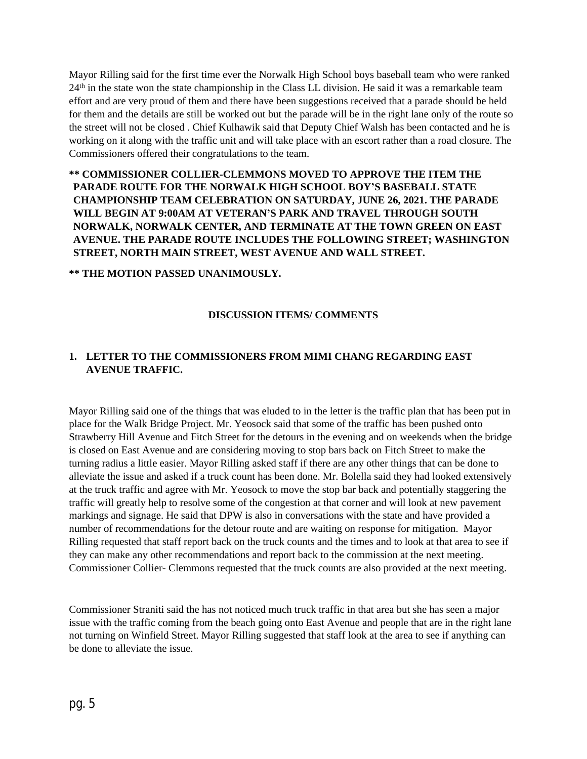Mayor Rilling said for the first time ever the Norwalk High School boys baseball team who were ranked  $24<sup>th</sup>$  in the state won the state championship in the Class LL division. He said it was a remarkable team effort and are very proud of them and there have been suggestions received that a parade should be held for them and the details are still be worked out but the parade will be in the right lane only of the route so the street will not be closed . Chief Kulhawik said that Deputy Chief Walsh has been contacted and he is working on it along with the traffic unit and will take place with an escort rather than a road closure. The Commissioners offered their congratulations to the team.

**\*\* COMMISSIONER COLLIER-CLEMMONS MOVED TO APPROVE THE ITEM THE PARADE ROUTE FOR THE NORWALK HIGH SCHOOL BOY'S BASEBALL STATE CHAMPIONSHIP TEAM CELEBRATION ON SATURDAY, JUNE 26, 2021. THE PARADE WILL BEGIN AT 9:00AM AT VETERAN'S PARK AND TRAVEL THROUGH SOUTH NORWALK, NORWALK CENTER, AND TERMINATE AT THE TOWN GREEN ON EAST AVENUE. THE PARADE ROUTE INCLUDES THE FOLLOWING STREET; WASHINGTON STREET, NORTH MAIN STREET, WEST AVENUE AND WALL STREET.**

**\*\* THE MOTION PASSED UNANIMOUSLY.**

## **DISCUSSION ITEMS/ COMMENTS**

## **1. LETTER TO THE COMMISSIONERS FROM MIMI CHANG REGARDING EAST AVENUE TRAFFIC.**

Mayor Rilling said one of the things that was eluded to in the letter is the traffic plan that has been put in place for the Walk Bridge Project. Mr. Yeosock said that some of the traffic has been pushed onto Strawberry Hill Avenue and Fitch Street for the detours in the evening and on weekends when the bridge is closed on East Avenue and are considering moving to stop bars back on Fitch Street to make the turning radius a little easier. Mayor Rilling asked staff if there are any other things that can be done to alleviate the issue and asked if a truck count has been done. Mr. Bolella said they had looked extensively at the truck traffic and agree with Mr. Yeosock to move the stop bar back and potentially staggering the traffic will greatly help to resolve some of the congestion at that corner and will look at new pavement markings and signage. He said that DPW is also in conversations with the state and have provided a number of recommendations for the detour route and are waiting on response for mitigation. Mayor Rilling requested that staff report back on the truck counts and the times and to look at that area to see if they can make any other recommendations and report back to the commission at the next meeting. Commissioner Collier- Clemmons requested that the truck counts are also provided at the next meeting.

Commissioner Straniti said the has not noticed much truck traffic in that area but she has seen a major issue with the traffic coming from the beach going onto East Avenue and people that are in the right lane not turning on Winfield Street. Mayor Rilling suggested that staff look at the area to see if anything can be done to alleviate the issue.